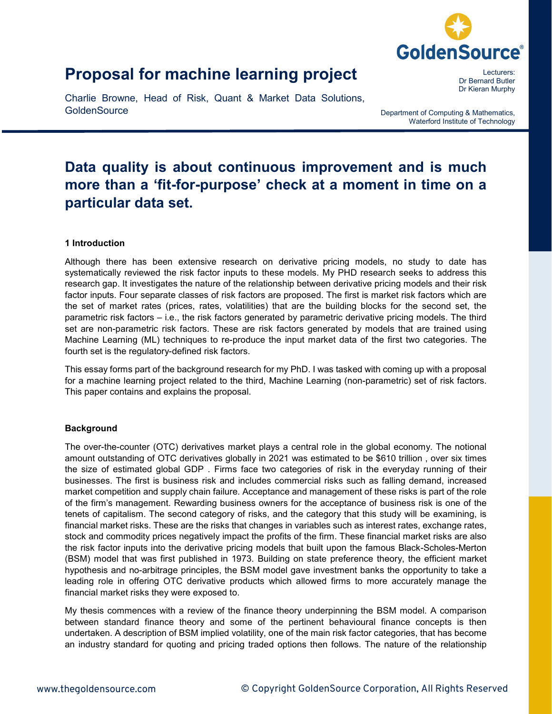

# **Proposal for machine learning project**

Charlie Browne, Head of Risk, Quant & Market Data Solutions, **GoldenSource** 

Lecturers: Dr Bernard Butler Dr Kieran Murphy

Department of Computing & Mathematics, Waterford Institute of Technology

# **Data quality is about continuous improvement and is much more than a 'fit-for-purpose' check at a moment in time on a particular data set.**

## **1 Introduction**

Although there has been extensive research on derivative pricing models, no study to date has systematically reviewed the risk factor inputs to these models. My PHD research seeks to address this research gap. It investigates the nature of the relationship between derivative pricing models and their risk factor inputs. Four separate classes of risk factors are proposed. The first is market risk factors which are the set of market rates (prices, rates, volatilities) that are the building blocks for the second set, the parametric risk factors – i.e., the risk factors generated by parametric derivative pricing models. The third set are non-parametric risk factors. These are risk factors generated by models that are trained using Machine Learning (ML) techniques to re-produce the input market data of the first two categories. The fourth set is the regulatory-defined risk factors.

This essay forms part of the background research for my PhD. I was tasked with coming up with a proposal for a machine learning project related to the third, Machine Learning (non-parametric) set of risk factors. This paper contains and explains the proposal.

#### **Background**

The over-the-counter (OTC) derivatives market plays a central role in the global economy. The notional amount outstanding of OTC derivatives globally in 2021 was estimated to be \$610 trillion , over six times the size of estimated global GDP . Firms face two categories of risk in the everyday running of their businesses. The first is business risk and includes commercial risks such as falling demand, increased market competition and supply chain failure. Acceptance and management of these risks is part of the role of the firm's management. Rewarding business owners for the acceptance of business risk is one of the tenets of capitalism. The second category of risks, and the category that this study will be examining, is financial market risks. These are the risks that changes in variables such as interest rates, exchange rates, stock and commodity prices negatively impact the profits of the firm. These financial market risks are also the risk factor inputs into the derivative pricing models that built upon the famous Black-Scholes-Merton (BSM) model that was first published in 1973. Building on state preference theory, the efficient market hypothesis and no-arbitrage principles, the BSM model gave investment banks the opportunity to take a leading role in offering OTC derivative products which allowed firms to more accurately manage the financial market risks they were exposed to.

My thesis commences with a review of the finance theory underpinning the BSM model. A comparison between standard finance theory and some of the pertinent behavioural finance concepts is then undertaken. A description of BSM implied volatility, one of the main risk factor categories, that has become an industry standard for quoting and pricing traded options then follows. The nature of the relationship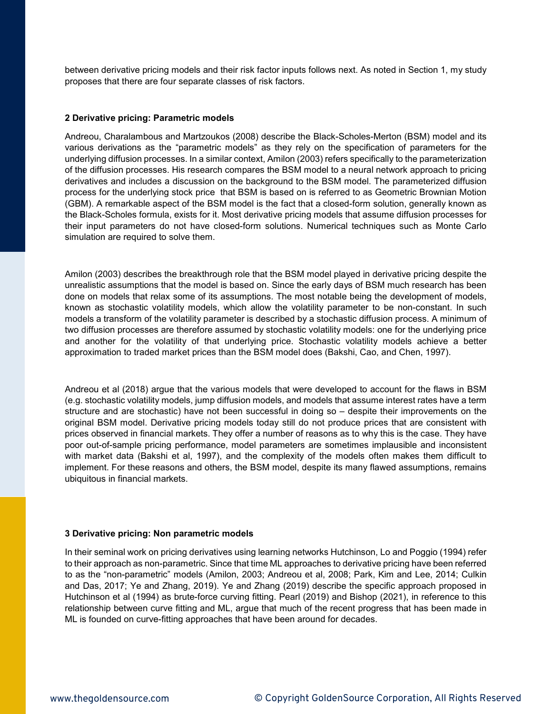between derivative pricing models and their risk factor inputs follows next. As noted in Section 1, my study proposes that there are four separate classes of risk factors.

#### **2 Derivative pricing: Parametric models**

Andreou, Charalambous and Martzoukos (2008) describe the Black-Scholes-Merton (BSM) model and its various derivations as the "parametric models" as they rely on the specification of parameters for the underlying diffusion processes. In a similar context, Amilon (2003) refers specifically to the parameterization of the diffusion processes. His research compares the BSM model to a neural network approach to pricing derivatives and includes a discussion on the background to the BSM model. The parameterized diffusion process for the underlying stock price that BSM is based on is referred to as Geometric Brownian Motion (GBM). A remarkable aspect of the BSM model is the fact that a closed-form solution, generally known as the Black-Scholes formula, exists for it. Most derivative pricing models that assume diffusion processes for their input parameters do not have closed-form solutions. Numerical techniques such as Monte Carlo simulation are required to solve them.

Amilon (2003) describes the breakthrough role that the BSM model played in derivative pricing despite the unrealistic assumptions that the model is based on. Since the early days of BSM much research has been done on models that relax some of its assumptions. The most notable being the development of models, known as stochastic volatility models, which allow the volatility parameter to be non-constant. In such models a transform of the volatility parameter is described by a stochastic diffusion process. A minimum of two diffusion processes are therefore assumed by stochastic volatility models: one for the underlying price and another for the volatility of that underlying price. Stochastic volatility models achieve a better approximation to traded market prices than the BSM model does (Bakshi, Cao, and Chen, 1997).

Andreou et al (2018) argue that the various models that were developed to account for the flaws in BSM (e.g. stochastic volatility models, jump diffusion models, and models that assume interest rates have a term structure and are stochastic) have not been successful in doing so – despite their improvements on the original BSM model. Derivative pricing models today still do not produce prices that are consistent with prices observed in financial markets. They offer a number of reasons as to why this is the case. They have poor out-of-sample pricing performance, model parameters are sometimes implausible and inconsistent with market data (Bakshi et al, 1997), and the complexity of the models often makes them difficult to implement. For these reasons and others, the BSM model, despite its many flawed assumptions, remains ubiquitous in financial markets.

#### **3 Derivative pricing: Non parametric models**

In their seminal work on pricing derivatives using learning networks Hutchinson, Lo and Poggio (1994) refer to their approach as non-parametric. Since that time ML approaches to derivative pricing have been referred to as the "non-parametric" models (Amilon, 2003; Andreou et al, 2008; Park, Kim and Lee, 2014; Culkin and Das, 2017; Ye and Zhang, 2019). Ye and Zhang (2019) describe the specific approach proposed in Hutchinson et al (1994) as brute-force curving fitting. Pearl (2019) and Bishop (2021), in reference to this relationship between curve fitting and ML, argue that much of the recent progress that has been made in ML is founded on curve-fitting approaches that have been around for decades.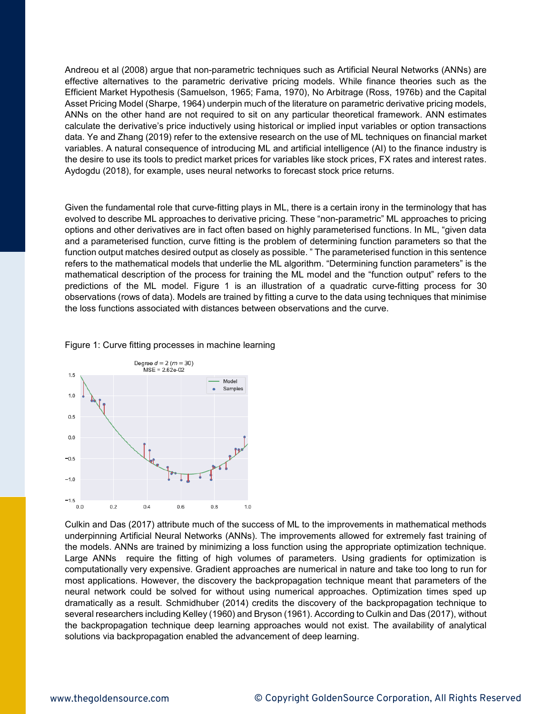Andreou et al (2008) argue that non-parametric techniques such as Artificial Neural Networks (ANNs) are effective alternatives to the parametric derivative pricing models. While finance theories such as the Efficient Market Hypothesis (Samuelson, 1965; Fama, 1970), No Arbitrage (Ross, 1976b) and the Capital Asset Pricing Model (Sharpe, 1964) underpin much of the literature on parametric derivative pricing models, ANNs on the other hand are not required to sit on any particular theoretical framework. ANN estimates calculate the derivative's price inductively using historical or implied input variables or option transactions data. Ye and Zhang (2019) refer to the extensive research on the use of ML techniques on financial market variables. A natural consequence of introducing ML and artificial intelligence (AI) to the finance industry is the desire to use its tools to predict market prices for variables like stock prices, FX rates and interest rates. Aydogdu (2018), for example, uses neural networks to forecast stock price returns.

Given the fundamental role that curve-fitting plays in ML, there is a certain irony in the terminology that has evolved to describe ML approaches to derivative pricing. These "non-parametric" ML approaches to pricing options and other derivatives are in fact often based on highly parameterised functions. In ML, "given data and a parameterised function, curve fitting is the problem of determining function parameters so that the function output matches desired output as closely as possible. " The parameterised function in this sentence refers to the mathematical models that underlie the ML algorithm. "Determining function parameters" is the mathematical description of the process for training the ML model and the "function output" refers to the predictions of the ML model. Figure 1 is an illustration of a quadratic curve-fitting process for 30 observations (rows of data). Models are trained by fitting a curve to the data using techniques that minimise the loss functions associated with distances between observations and the curve.

#### Figure 1: Curve fitting processes in machine learning



Culkin and Das (2017) attribute much of the success of ML to the improvements in mathematical methods underpinning Artificial Neural Networks (ANNs). The improvements allowed for extremely fast training of the models. ANNs are trained by minimizing a loss function using the appropriate optimization technique. Large ANNs require the fitting of high volumes of parameters. Using gradients for optimization is computationally very expensive. Gradient approaches are numerical in nature and take too long to run for most applications. However, the discovery the backpropagation technique meant that parameters of the neural network could be solved for without using numerical approaches. Optimization times sped up dramatically as a result. Schmidhuber (2014) credits the discovery of the backpropagation technique to several researchers including Kelley (1960) and Bryson (1961). According to Culkin and Das (2017), without the backpropagation technique deep learning approaches would not exist. The availability of analytical solutions via backpropagation enabled the advancement of deep learning.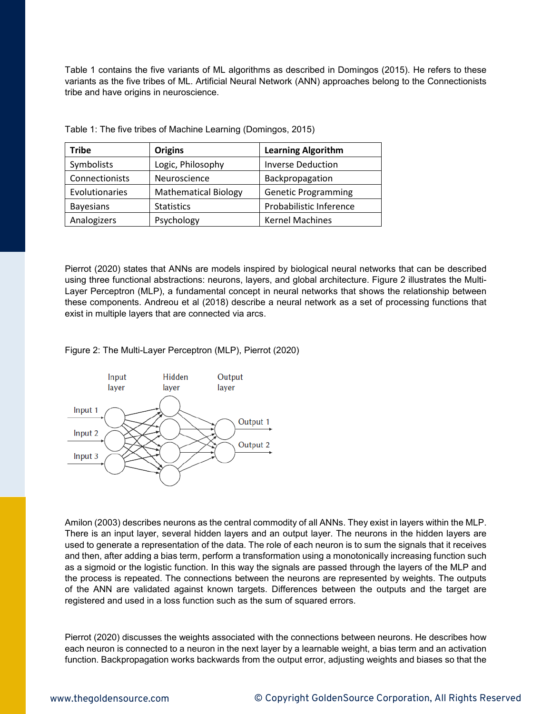Table 1 contains the five variants of ML algorithms as described in Domingos (2015). He refers to these variants as the five tribes of ML. Artificial Neural Network (ANN) approaches belong to the Connectionists tribe and have origins in neuroscience.

| <b>Tribe</b>     | <b>Learning Algorithm</b><br><b>Origins</b> |                            |
|------------------|---------------------------------------------|----------------------------|
| Symbolists       | Logic, Philosophy                           | <b>Inverse Deduction</b>   |
| Connectionists   | Neuroscience                                | Backpropagation            |
| Evolutionaries   | <b>Mathematical Biology</b>                 | <b>Genetic Programming</b> |
| <b>Bayesians</b> | <b>Statistics</b>                           | Probabilistic Inference    |
| Analogizers      | Psychology                                  | <b>Kernel Machines</b>     |

Table 1: The five tribes of Machine Learning (Domingos, 2015)

Pierrot (2020) states that ANNs are models inspired by biological neural networks that can be described using three functional abstractions: neurons, layers, and global architecture. Figure 2 illustrates the Multi-Layer Perceptron (MLP), a fundamental concept in neural networks that shows the relationship between these components. Andreou et al (2018) describe a neural network as a set of processing functions that exist in multiple layers that are connected via arcs.

Figure 2: The Multi-Layer Perceptron (MLP), Pierrot (2020)



Amilon (2003) describes neurons as the central commodity of all ANNs. They exist in layers within the MLP. There is an input layer, several hidden layers and an output layer. The neurons in the hidden layers are used to generate a representation of the data. The role of each neuron is to sum the signals that it receives and then, after adding a bias term, perform a transformation using a monotonically increasing function such as a sigmoid or the logistic function. In this way the signals are passed through the layers of the MLP and the process is repeated. The connections between the neurons are represented by weights. The outputs of the ANN are validated against known targets. Differences between the outputs and the target are registered and used in a loss function such as the sum of squared errors.

Pierrot (2020) discusses the weights associated with the connections between neurons. He describes how each neuron is connected to a neuron in the next layer by a learnable weight, a bias term and an activation function. Backpropagation works backwards from the output error, adjusting weights and biases so that the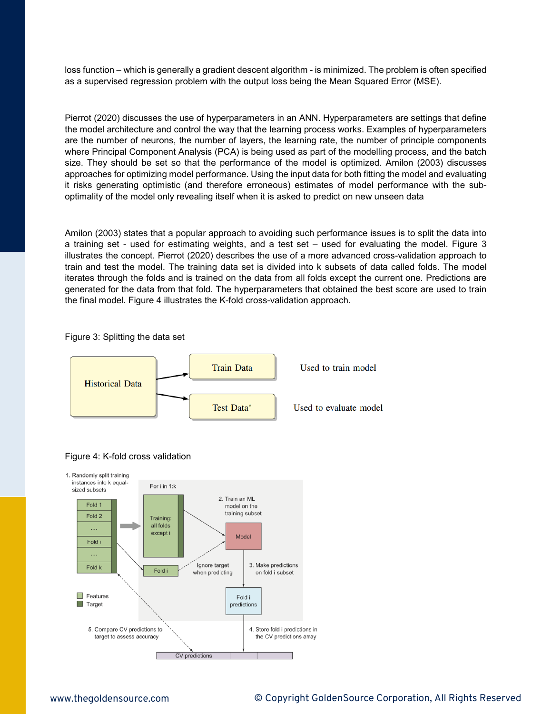loss function – which is generally a gradient descent algorithm - is minimized. The problem is often specified as a supervised regression problem with the output loss being the Mean Squared Error (MSE).

Pierrot (2020) discusses the use of hyperparameters in an ANN. Hyperparameters are settings that define the model architecture and control the way that the learning process works. Examples of hyperparameters are the number of neurons, the number of layers, the learning rate, the number of principle components where Principal Component Analysis (PCA) is being used as part of the modelling process, and the batch size. They should be set so that the performance of the model is optimized. Amilon (2003) discusses approaches for optimizing model performance. Using the input data for both fitting the model and evaluating it risks generating optimistic (and therefore erroneous) estimates of model performance with the suboptimality of the model only revealing itself when it is asked to predict on new unseen data

Amilon (2003) states that a popular approach to avoiding such performance issues is to split the data into a training set - used for estimating weights, and a test set – used for evaluating the model. Figure 3 illustrates the concept. Pierrot (2020) describes the use of a more advanced cross-validation approach to train and test the model. The training data set is divided into k subsets of data called folds. The model iterates through the folds and is trained on the data from all folds except the current one. Predictions are generated for the data from that fold. The hyperparameters that obtained the best score are used to train the final model. Figure 4 illustrates the K-fold cross-validation approach.







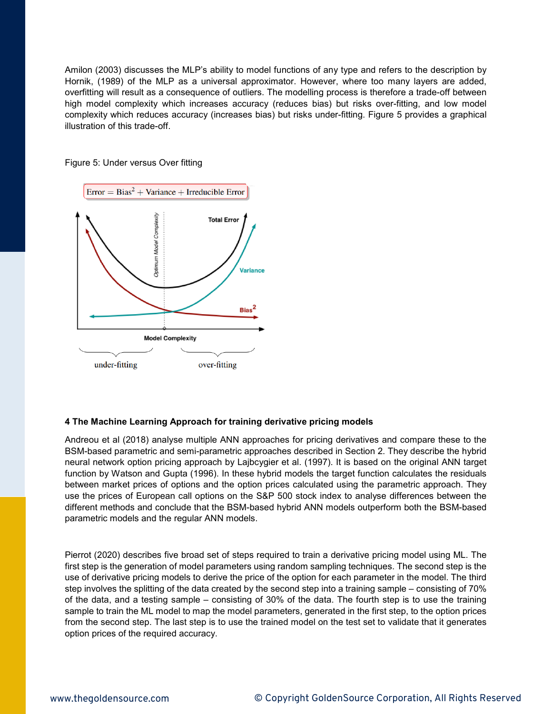Amilon (2003) discusses the MLP's ability to model functions of any type and refers to the description by Hornik, (1989) of the MLP as a universal approximator. However, where too many layers are added, overfitting will result as a consequence of outliers. The modelling process is therefore a trade-off between high model complexity which increases accuracy (reduces bias) but risks over-fitting, and low model complexity which reduces accuracy (increases bias) but risks under-fitting. Figure 5 provides a graphical illustration of this trade-off.

Figure 5: Under versus Over fitting



## **4 The Machine Learning Approach for training derivative pricing models**

Andreou et al (2018) analyse multiple ANN approaches for pricing derivatives and compare these to the BSM-based parametric and semi-parametric approaches described in Section 2. They describe the hybrid neural network option pricing approach by Lajbcygier et al. (1997). It is based on the original ANN target function by Watson and Gupta (1996). In these hybrid models the target function calculates the residuals between market prices of options and the option prices calculated using the parametric approach. They use the prices of European call options on the S&P 500 stock index to analyse differences between the different methods and conclude that the BSM-based hybrid ANN models outperform both the BSM-based parametric models and the regular ANN models.

Pierrot (2020) describes five broad set of steps required to train a derivative pricing model using ML. The first step is the generation of model parameters using random sampling techniques. The second step is the use of derivative pricing models to derive the price of the option for each parameter in the model. The third step involves the splitting of the data created by the second step into a training sample – consisting of 70% of the data, and a testing sample – consisting of 30% of the data. The fourth step is to use the training sample to train the ML model to map the model parameters, generated in the first step, to the option prices from the second step. The last step is to use the trained model on the test set to validate that it generates option prices of the required accuracy.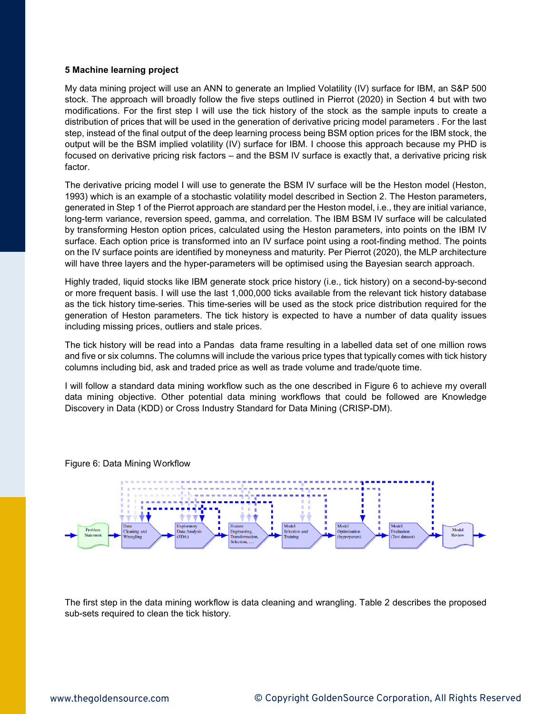#### **5 Machine learning project**

My data mining project will use an ANN to generate an Implied Volatility (IV) surface for IBM, an S&P 500 stock. The approach will broadly follow the five steps outlined in Pierrot (2020) in Section 4 but with two modifications. For the first step I will use the tick history of the stock as the sample inputs to create a distribution of prices that will be used in the generation of derivative pricing model parameters . For the last step, instead of the final output of the deep learning process being BSM option prices for the IBM stock, the output will be the BSM implied volatility (IV) surface for IBM. I choose this approach because my PHD is focused on derivative pricing risk factors – and the BSM IV surface is exactly that, a derivative pricing risk factor.

The derivative pricing model I will use to generate the BSM IV surface will be the Heston model (Heston, 1993) which is an example of a stochastic volatility model described in Section 2. The Heston parameters, generated in Step 1 of the Pierrot approach are standard per the Heston model, i.e., they are initial variance, long-term variance, reversion speed, gamma, and correlation. The IBM BSM IV surface will be calculated by transforming Heston option prices, calculated using the Heston parameters, into points on the IBM IV surface. Each option price is transformed into an IV surface point using a root-finding method. The points on the IV surface points are identified by moneyness and maturity. Per Pierrot (2020), the MLP architecture will have three layers and the hyper-parameters will be optimised using the Bayesian search approach.

Highly traded, liquid stocks like IBM generate stock price history (i.e., tick history) on a second-by-second or more frequent basis. I will use the last 1,000,000 ticks available from the relevant tick history database as the tick history time-series. This time-series will be used as the stock price distribution required for the generation of Heston parameters. The tick history is expected to have a number of data quality issues including missing prices, outliers and stale prices.

The tick history will be read into a Pandas data frame resulting in a labelled data set of one million rows and five or six columns. The columns will include the various price types that typically comes with tick history columns including bid, ask and traded price as well as trade volume and trade/quote time.

I will follow a standard data mining workflow such as the one described in Figure 6 to achieve my overall data mining objective. Other potential data mining workflows that could be followed are Knowledge Discovery in Data (KDD) or Cross Industry Standard for Data Mining (CRISP-DM).



Figure 6: Data Mining Workflow

The first step in the data mining workflow is data cleaning and wrangling. Table 2 describes the proposed sub-sets required to clean the tick history.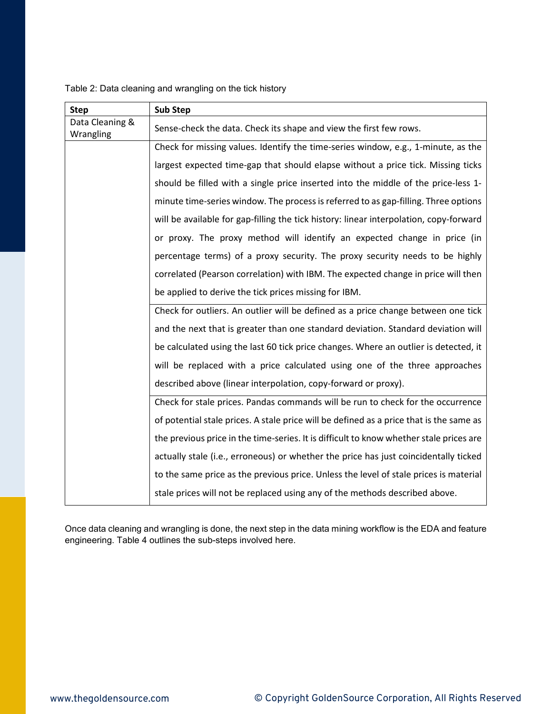| Table 2: Data cleaning and wrangling on the tick history |  |  |  |  |
|----------------------------------------------------------|--|--|--|--|
|                                                          |  |  |  |  |

| <b>Step</b>                  | <b>Sub Step</b>                                                                         |
|------------------------------|-----------------------------------------------------------------------------------------|
| Data Cleaning &<br>Wrangling | Sense-check the data. Check its shape and view the first few rows.                      |
|                              | Check for missing values. Identify the time-series window, e.g., 1-minute, as the       |
|                              | largest expected time-gap that should elapse without a price tick. Missing ticks        |
|                              | should be filled with a single price inserted into the middle of the price-less 1-      |
|                              | minute time-series window. The process is referred to as gap-filling. Three options     |
|                              | will be available for gap-filling the tick history: linear interpolation, copy-forward  |
|                              | or proxy. The proxy method will identify an expected change in price (in                |
|                              | percentage terms) of a proxy security. The proxy security needs to be highly            |
|                              | correlated (Pearson correlation) with IBM. The expected change in price will then       |
|                              | be applied to derive the tick prices missing for IBM.                                   |
|                              | Check for outliers. An outlier will be defined as a price change between one tick       |
|                              | and the next that is greater than one standard deviation. Standard deviation will       |
|                              | be calculated using the last 60 tick price changes. Where an outlier is detected, it    |
|                              | will be replaced with a price calculated using one of the three approaches              |
|                              | described above (linear interpolation, copy-forward or proxy).                          |
|                              | Check for stale prices. Pandas commands will be run to check for the occurrence         |
|                              | of potential stale prices. A stale price will be defined as a price that is the same as |
|                              | the previous price in the time-series. It is difficult to know whether stale prices are |
|                              | actually stale (i.e., erroneous) or whether the price has just coincidentally ticked    |
|                              | to the same price as the previous price. Unless the level of stale prices is material   |
|                              | stale prices will not be replaced using any of the methods described above.             |

Once data cleaning and wrangling is done, the next step in the data mining workflow is the EDA and feature engineering. Table 4 outlines the sub-steps involved here.